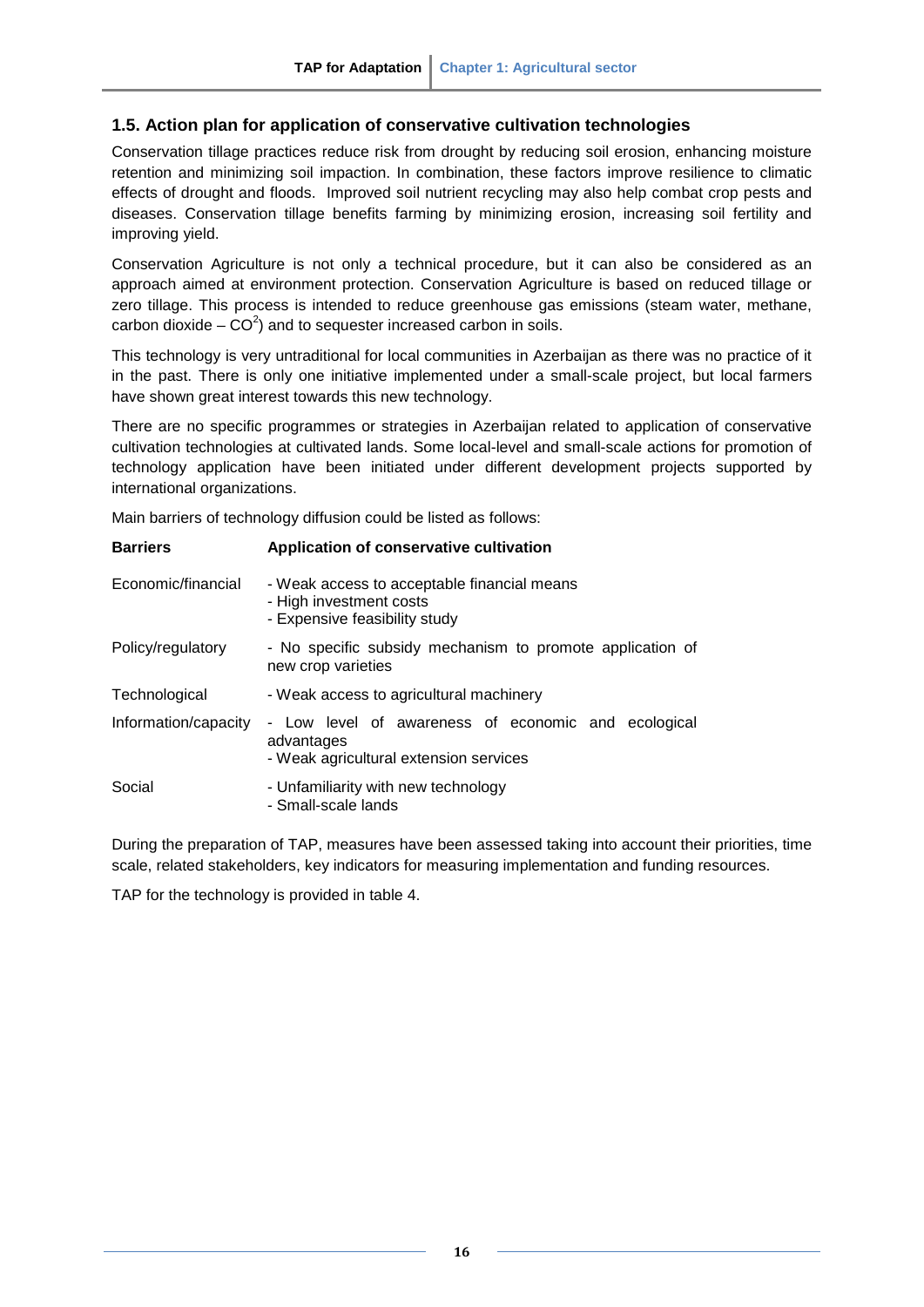## **1.5. Action plan for application of conservative cultivation technologies**

Conservation tillage practices reduce risk from drought by reducing soil erosion, enhancing moisture retention and minimizing soil impaction. In combination, these factors improve resilience to climatic effects of drought and floods. Improved soil nutrient recycling may also help combat crop pests and diseases. Conservation tillage benefits farming by minimizing erosion, increasing soil fertility and improving yield.

Conservation Agriculture is not only a technical procedure, but it can also be considered as an approach aimed at environment protection. Conservation Agriculture is based on reduced tillage or zero tillage. This process is intended to reduce greenhouse gas emissions (steam water, methane, carbon dioxide  $-$  CO<sup>2</sup>) and to sequester increased carbon in soils.

This technology is very untraditional for local communities in Azerbaijan as there was no practice of it in the past. There is only one initiative implemented under a small-scale project, but local farmers have shown great interest towards this new technology.

There are no specific programmes or strategies in Azerbaijan related to application of conservative cultivation technologies at cultivated lands. Some local-level and small-scale actions for promotion of technology application have been initiated under different development projects supported by international organizations.

Main barriers of technology diffusion could be listed as follows:

| <b>Barriers</b>      | Application of conservative cultivation                                                                     |  |  |  |  |  |  |  |
|----------------------|-------------------------------------------------------------------------------------------------------------|--|--|--|--|--|--|--|
| Economic/financial   | - Weak access to acceptable financial means<br>- High investment costs<br>- Expensive feasibility study     |  |  |  |  |  |  |  |
| Policy/regulatory    | - No specific subsidy mechanism to promote application of<br>new crop varieties                             |  |  |  |  |  |  |  |
| Technological        | - Weak access to agricultural machinery                                                                     |  |  |  |  |  |  |  |
| Information/capacity | - Low level of awareness of economic and ecological<br>advantages<br>- Weak agricultural extension services |  |  |  |  |  |  |  |
| Social               | - Unfamiliarity with new technology<br>- Small-scale lands                                                  |  |  |  |  |  |  |  |

During the preparation of TAP, measures have been assessed taking into account their priorities, time scale, related stakeholders, key indicators for measuring implementation and funding resources.

TAP for the technology is provided in table 4.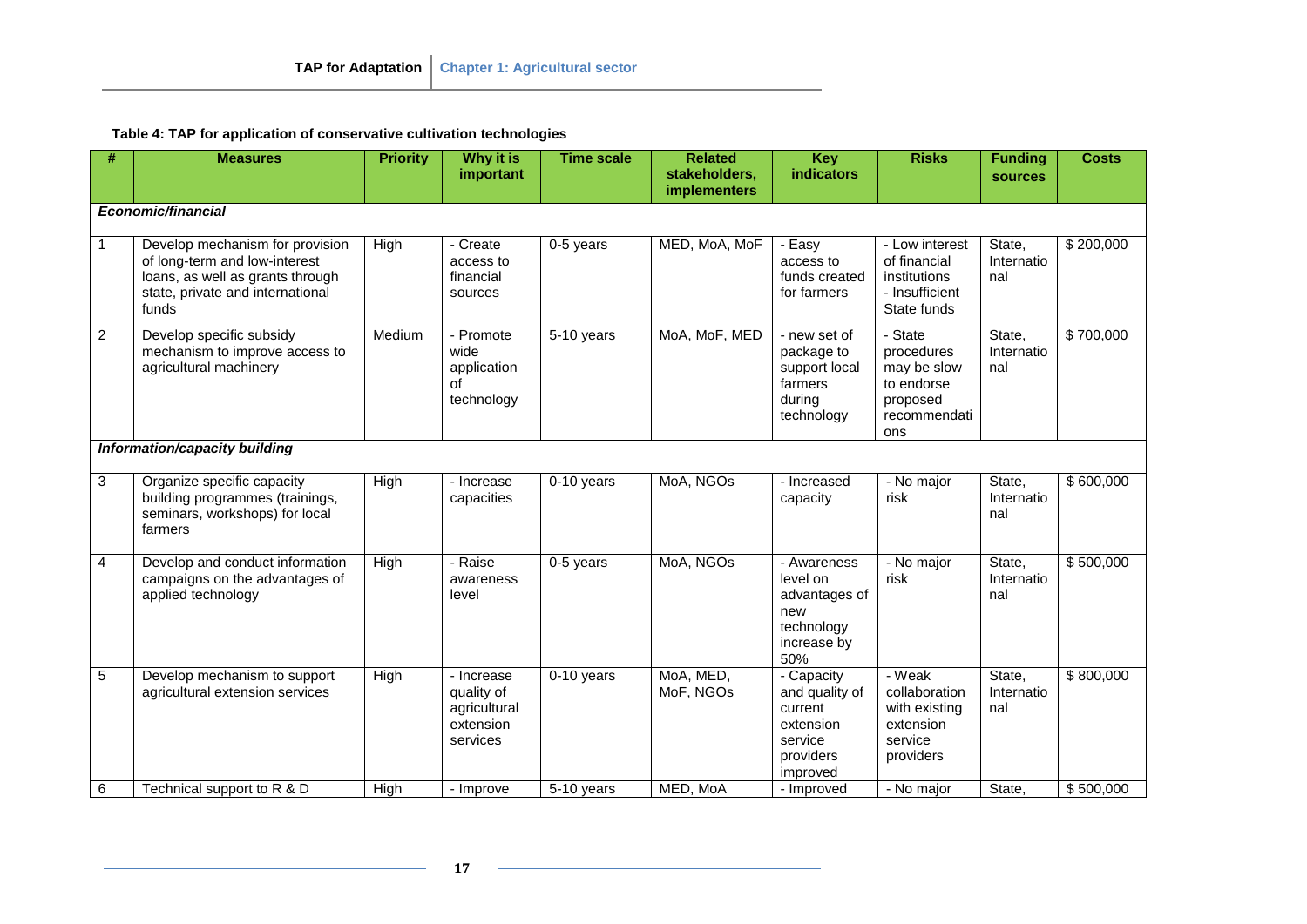**Table 4: TAP for application of conservative cultivation technologies**

| #                       | <b>Measures</b>                                                                                                                                   | <b>Priority</b> | Why it is<br>important                                            | <b>Time scale</b>        | <b>Related</b><br>stakeholders,<br><b>implementers</b> | <b>Key</b><br><b>indicators</b>                                                          | <b>Risks</b>                                                                          | <b>Funding</b><br><b>sources</b> | <b>Costs</b> |  |
|-------------------------|---------------------------------------------------------------------------------------------------------------------------------------------------|-----------------|-------------------------------------------------------------------|--------------------------|--------------------------------------------------------|------------------------------------------------------------------------------------------|---------------------------------------------------------------------------------------|----------------------------------|--------------|--|
| Economic/financial      |                                                                                                                                                   |                 |                                                                   |                          |                                                        |                                                                                          |                                                                                       |                                  |              |  |
| 1                       | Develop mechanism for provision<br>of long-term and low-interest<br>loans, as well as grants through<br>state, private and international<br>funds | High            | - Create<br>access to<br>financial<br>sources                     | 0-5 years                | MED, MoA, MoF                                          | - Easy<br>access to<br>funds created<br>for farmers                                      | - Low interest<br>of financial<br>institutions<br>- Insufficient<br>State funds       | State,<br>Internatio<br>nal      | \$200,000    |  |
| $\overline{\mathbf{c}}$ | Develop specific subsidy<br>mechanism to improve access to<br>agricultural machinery                                                              | Medium          | - Promote<br>wide<br>application<br>οf<br>technology              | $\overline{5}$ -10 years | MoA, MoF, MED                                          | - new set of<br>package to<br>support local<br>farmers<br>during<br>technology           | - State<br>procedures<br>may be slow<br>to endorse<br>proposed<br>recommendati<br>ons | State,<br>Internatio<br>nal      | \$700,000    |  |
|                         | Information/capacity building                                                                                                                     |                 |                                                                   |                          |                                                        |                                                                                          |                                                                                       |                                  |              |  |
| 3                       | Organize specific capacity<br>building programmes (trainings,<br>seminars, workshops) for local<br>farmers                                        | High            | - Increase<br>capacities                                          | 0-10 years               | MoA, NGOs                                              | - Increased<br>capacity                                                                  | - No major<br>risk                                                                    | State,<br>Internatio<br>nal      | \$600,000    |  |
| 4                       | Develop and conduct information<br>campaigns on the advantages of<br>applied technology                                                           | High            | - Raise<br>awareness<br>level                                     | 0-5 years                | MoA, NGOs                                              | - Awareness<br>level on<br>advantages of<br>new<br>technology<br>increase by<br>50%      | - No major<br>risk                                                                    | State,<br>Internatio<br>nal      | \$500,000    |  |
| 5                       | Develop mechanism to support<br>agricultural extension services                                                                                   | High            | - Increase<br>quality of<br>agricultural<br>extension<br>services | 0-10 years               | MoA, MED,<br>MoF, NGOs                                 | - Capacity<br>and quality of<br>current<br>extension<br>service<br>providers<br>improved | - Weak<br>collaboration<br>with existing<br>extension<br>service<br>providers         | State,<br>Internatio<br>nal      | \$800,000    |  |
| 6                       | Technical support to R & D                                                                                                                        | High            | - Improve                                                         | 5-10 years               | MED, MoA                                               | - Improved                                                                               | - No major                                                                            | State,                           | \$500,000    |  |

**17**